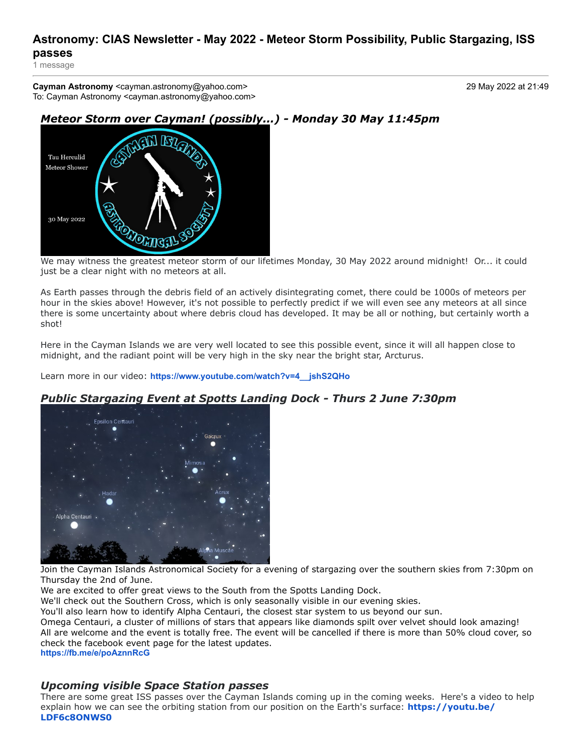## **Astronomy: CIAS Newsletter - May 2022 - Meteor Storm Possibility, Public Stargazing, ISS passes**

1 message

**Cayman Astronomy** <cayman.astronomy@yahoo.com> 29 May 2022 at 21:49 To: Cayman Astronomy <cayman.astronomy@yahoo.com>



# *Meteor Storm over Cayman! (possibly...) - Monday 30 May 11:45pm*

We may witness the greatest meteor storm of our lifetimes Monday, 30 May 2022 around midnight! Or... it could just be a clear night with no meteors at all.

As Earth passes through the debris field of an actively disintegrating comet, there could be 1000s of meteors per hour in the skies above! However, it's not possible to perfectly predict if we will even see any meteors at all since there is some uncertainty about where debris cloud has developed. It may be all or nothing, but certainly worth a shot!

Here in the Cayman Islands we are very well located to see this possible event, since it will all happen close to midnight, and the radiant point will be very high in the sky near the bright star, Arcturus.

Learn more in our video: **[https://www.youtube.com/watch?v=4\\_\\_jshS2QHo](https://www.youtube.com/watch?v=4__jshS2QHo)**



### *Public Stargazing Event at Spotts Landing Dock - Thurs 2 June 7:30pm*

Join the Cayman Islands Astronomical Society for a evening of stargazing over the southern skies from 7:30pm on Thursday the 2nd of June.

We are excited to offer great views to the South from the Spotts Landing Dock.

We'll check out the Southern Cross, which is only seasonally visible in our evening skies.

You'll also learn how to identify Alpha Centauri, the closest star system to us beyond our sun.

Omega Centauri, a cluster of millions of stars that appears like diamonds spilt over velvet should look amazing!

All are welcome and the event is totally free. The event will be cancelled if there is more than 50% cloud cover, so check the facebook event page for the latest updates.

**<https://fb.me/e/poAznnRcG>**

### *Upcoming visible Space Station passes*

There are some great ISS passes over the Cayman Islands coming up in the coming weeks. Here's a video to help [explain how we can see the orbiting station from our position on the Earth's surface:](https://youtu.be/LDF6c8ONWS0) **https://youtu.be/ LDF6c8ONWS0**